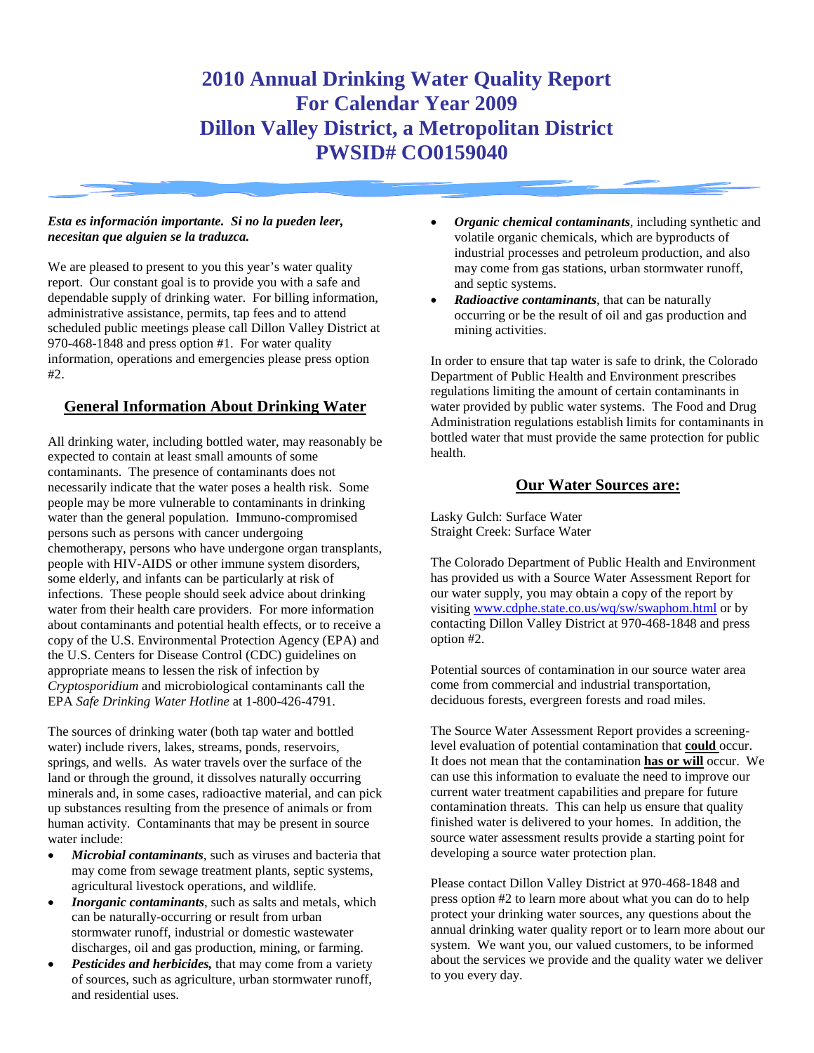# **2010 Annual Drinking Water Quality Report For Calendar Year 2009 Dillon Valley District, a Metropolitan District PWSID# CO0159040**

#### *Esta es información importante. Si no la pueden leer, necesitan que alguien se la traduzca.*

We are pleased to present to you this year's water quality report. Our constant goal is to provide you with a safe and dependable supply of drinking water. For billing information, administrative assistance, permits, tap fees and to attend scheduled public meetings please call Dillon Valley District at 970-468-1848 and press option #1. For water quality information, operations and emergencies please press option #2.

#### **General Information About Drinking Water**

All drinking water, including bottled water, may reasonably be expected to contain at least small amounts of some contaminants. The presence of contaminants does not necessarily indicate that the water poses a health risk. Some people may be more vulnerable to contaminants in drinking water than the general population. Immuno-compromised persons such as persons with cancer undergoing chemotherapy, persons who have undergone organ transplants, people with HIV-AIDS or other immune system disorders, some elderly, and infants can be particularly at risk of infections. These people should seek advice about drinking water from their health care providers. For more information about contaminants and potential health effects, or to receive a copy of the U.S. Environmental Protection Agency (EPA) and the U.S. Centers for Disease Control (CDC) guidelines on appropriate means to lessen the risk of infection by *Cryptosporidium* and microbiological contaminants call the EPA *Safe Drinking Water Hotline* at 1-800-426-4791.

The sources of drinking water (both tap water and bottled water) include rivers, lakes, streams, ponds, reservoirs, springs, and wells. As water travels over the surface of the land or through the ground, it dissolves naturally occurring minerals and, in some cases, radioactive material, and can pick up substances resulting from the presence of animals or from human activity. Contaminants that may be present in source water include:

- *Microbial contaminants,* such as viruses and bacteria that may come from sewage treatment plants, septic systems, agricultural livestock operations, and wildlife*.*
- *Inorganic contaminants*, such as salts and metals, which can be naturally-occurring or result from urban stormwater runoff, industrial or domestic wastewater discharges, oil and gas production, mining, or farming.
- *Pesticides and herbicides,* that may come from a variety of sources, such as agriculture, urban stormwater runoff, and residential uses.
- *Organic chemical contaminants,* including synthetic and volatile organic chemicals, which are byproducts of industrial processes and petroleum production, and also may come from gas stations, urban stormwater runoff, and septic systems.
- *Radioactive contaminants,* that can be naturally occurring or be the result of oil and gas production and mining activities.

In order to ensure that tap water is safe to drink, the Colorado Department of Public Health and Environment prescribes regulations limiting the amount of certain contaminants in water provided by public water systems. The Food and Drug Administration regulations establish limits for contaminants in bottled water that must provide the same protection for public health.

#### **Our Water Sources are:**

Lasky Gulch: Surface Water Straight Creek: Surface Water

The Colorado Department of Public Health and Environment has provided us with a Source Water Assessment Report for our water supply, you may obtain a copy of the report by visiting [www.cdphe.state.co.us/wq/sw/swaphom.html](http://www.cdphe.state.co.us/wq/sw/swaphom.html) or by contacting Dillon Valley District at 970-468-1848 and press option #2.

Potential sources of contamination in our source water area come from commercial and industrial transportation, deciduous forests, evergreen forests and road miles.

The Source Water Assessment Report provides a screeninglevel evaluation of potential contamination that **could** occur. It does not mean that the contamination **has or will** occur. We can use this information to evaluate the need to improve our current water treatment capabilities and prepare for future contamination threats. This can help us ensure that quality finished water is delivered to your homes. In addition, the source water assessment results provide a starting point for developing a source water protection plan.

Please contact Dillon Valley District at 970-468-1848 and press option #2 to learn more about what you can do to help protect your drinking water sources, any questions about the annual drinking water quality report or to learn more about our system. We want you, our valued customers, to be informed about the services we provide and the quality water we deliver to you every day.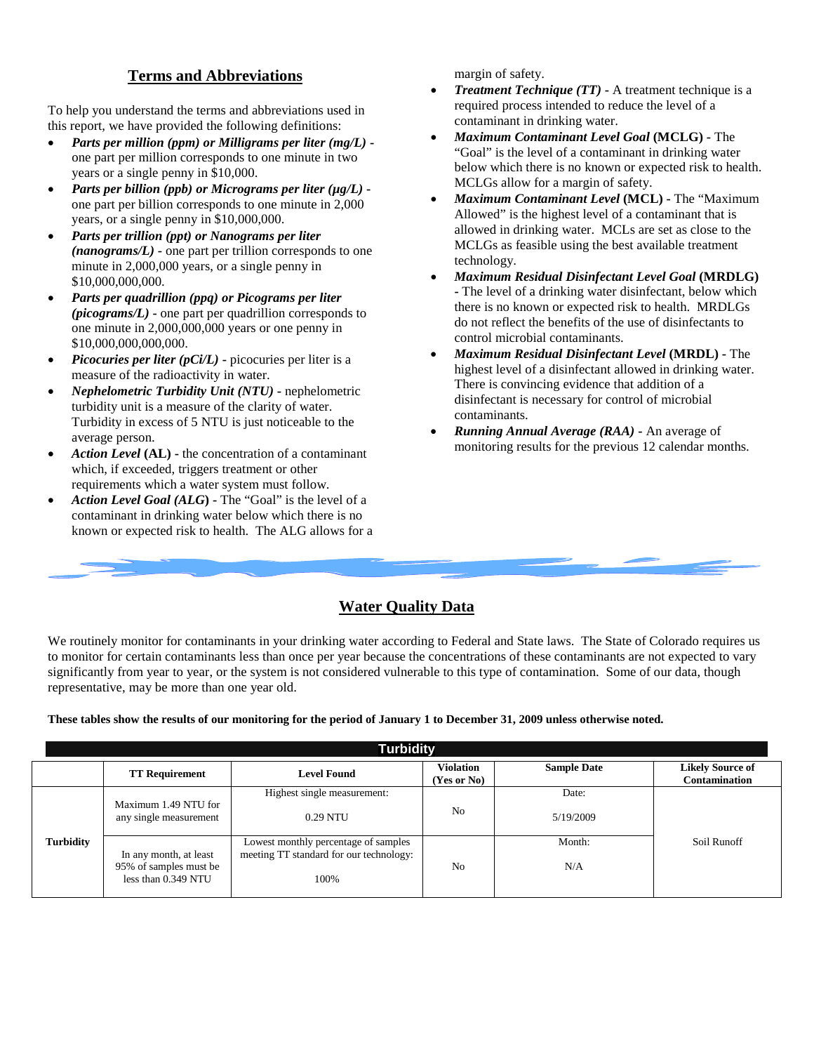## **Terms and Abbreviations**

To help you understand the terms and abbreviations used in this report, we have provided the following definitions:

- *Parts per million (ppm) or Milligrams per liter (mg/L)*  one part per million corresponds to one minute in two years or a single penny in \$10,000.
- *Parts per billion (ppb) or Micrograms per liter (µg/L)*  one part per billion corresponds to one minute in 2,000 years, or a single penny in \$10,000,000.
- *Parts per trillion (ppt) or Nanograms per liter (nanograms/L)* **-** one part per trillion corresponds to one minute in 2,000,000 years, or a single penny in \$10,000,000,000.
- *Parts per quadrillion (ppq) or Picograms per liter (picograms/L)* **-** one part per quadrillion corresponds to one minute in 2,000,000,000 years or one penny in \$10,000,000,000,000.
- *Picocuries per liter (pCi/L)* **-** picocuries per liter is a measure of the radioactivity in water.
- *Nephelometric Turbidity Unit (NTU)* **-** nephelometric turbidity unit is a measure of the clarity of water. Turbidity in excess of 5 NTU is just noticeable to the average person.
- *Action Level* **(AL) -** the concentration of a contaminant which, if exceeded, triggers treatment or other requirements which a water system must follow.
- *Action Level Goal (ALG***) -** The "Goal" is the level of a contaminant in drinking water below which there is no known or expected risk to health. The ALG allows for a

margin of safety.

- *Treatment Technique (TT)* **-** A treatment technique is a required process intended to reduce the level of a contaminant in drinking water.
- *Maximum Contaminant Level Goal* **(MCLG) -** The "Goal" is the level of a contaminant in drinking water below which there is no known or expected risk to health. MCLGs allow for a margin of safety.
- *Maximum Contaminant Level* **(MCL) -** The "Maximum Allowed" is the highest level of a contaminant that is allowed in drinking water. MCLs are set as close to the MCLGs as feasible using the best available treatment technology.
- *Maximum Residual Disinfectant Level Goal* **(MRDLG) -** The level of a drinking water disinfectant, below which there is no known or expected risk to health. MRDLGs do not reflect the benefits of the use of disinfectants to control microbial contaminants.
- *Maximum Residual Disinfectant Level* **(MRDL) -** The highest level of a disinfectant allowed in drinking water. There is convincing evidence that addition of a disinfectant is necessary for control of microbial contaminants.
- *Running Annual Average (RAA)* **-** An average of monitoring results for the previous 12 calendar months.

## **Water Quality Data**

We routinely monitor for contaminants in your drinking water according to Federal and State laws. The State of Colorado requires us to monitor for certain contaminants less than once per year because the concentrations of these contaminants are not expected to vary significantly from year to year, or the system is not considered vulnerable to this type of contamination. Some of our data, though representative, may be more than one year old.

**These tables show the results of our monitoring for the period of January 1 to December 31, 2009 unless otherwise noted.**

|                  | <b>Turbidity</b>                                                        |                                                                                         |                                 |                    |                                                 |  |  |  |  |  |  |  |
|------------------|-------------------------------------------------------------------------|-----------------------------------------------------------------------------------------|---------------------------------|--------------------|-------------------------------------------------|--|--|--|--|--|--|--|
|                  | <b>TT Requirement</b>                                                   | <b>Level Found</b>                                                                      | <b>Violation</b><br>(Yes or No) | <b>Sample Date</b> | <b>Likely Source of</b><br><b>Contamination</b> |  |  |  |  |  |  |  |
|                  | Maximum 1.49 NTU for<br>any single measurement                          | Highest single measurement:<br>0.29 NTU                                                 | N <sub>0</sub>                  | Date:<br>5/19/2009 |                                                 |  |  |  |  |  |  |  |
| <b>Turbidity</b> | In any month, at least<br>95% of samples must be<br>less than 0.349 NTU | Lowest monthly percentage of samples<br>meeting TT standard for our technology:<br>100% | No                              | Month:<br>N/A      | Soil Runoff                                     |  |  |  |  |  |  |  |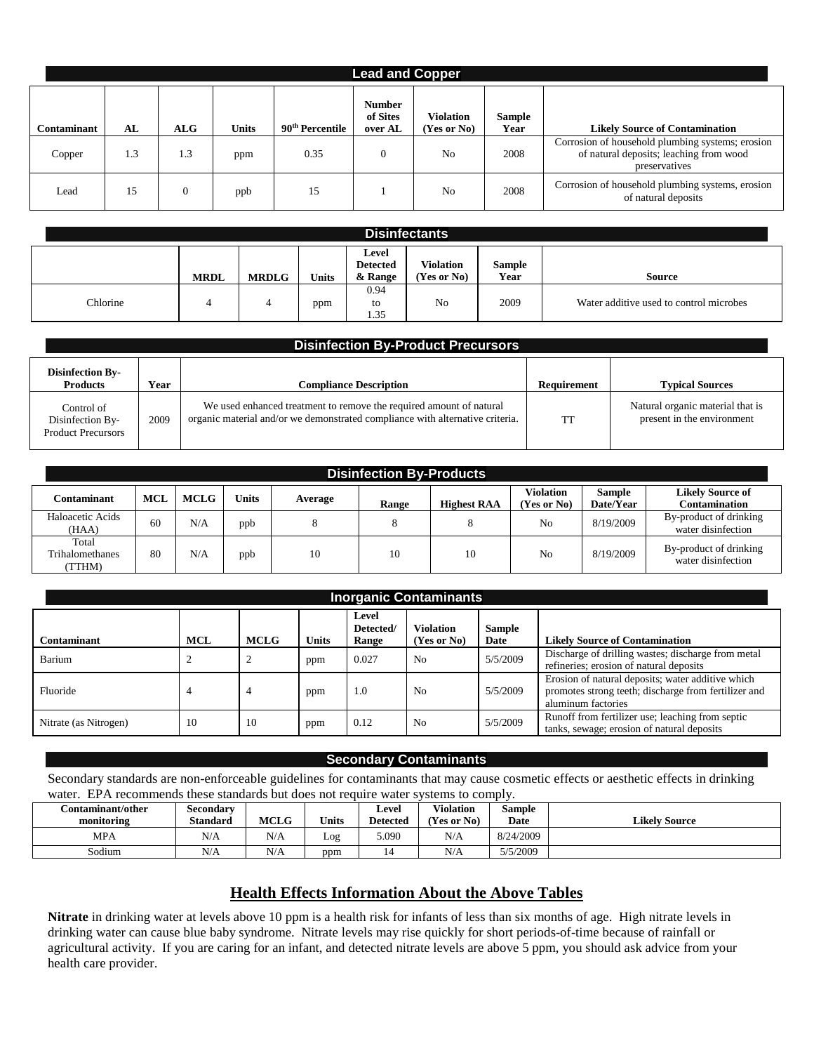| <b>Lead and Copper</b> |     |     |              |                             |                                      |                                 |                       |                                                                                                              |  |  |  |  |
|------------------------|-----|-----|--------------|-----------------------------|--------------------------------------|---------------------------------|-----------------------|--------------------------------------------------------------------------------------------------------------|--|--|--|--|
| Contaminant            | AL  | ALG | <b>Units</b> | 90 <sup>th</sup> Percentile | <b>Number</b><br>of Sites<br>over AL | <b>Violation</b><br>(Yes or No) | <b>Sample</b><br>Year | <b>Likely Source of Contamination</b>                                                                        |  |  |  |  |
| Copper                 | 1.3 | 1.3 | ppm          | 0.35                        | $\theta$                             | No                              | 2008                  | Corrosion of household plumbing systems; erosion<br>of natural deposits; leaching from wood<br>preservatives |  |  |  |  |
| Lead                   | 15  |     | ppb          | 15                          |                                      | N <sub>o</sub>                  | 2008                  | Corrosion of household plumbing systems, erosion<br>of natural deposits                                      |  |  |  |  |

| <b>Disinfectants</b> |             |              |              |                                     |                                 |                |                                         |  |  |  |
|----------------------|-------------|--------------|--------------|-------------------------------------|---------------------------------|----------------|-----------------------------------------|--|--|--|
|                      | <b>MRDL</b> | <b>MRDLG</b> | <b>Units</b> | Level<br><b>Detected</b><br>& Range | <b>Violation</b><br>(Yes or No) | Sample<br>Year | <b>Source</b>                           |  |  |  |
| Chlorine             | 4           | 4            | ppm          | 0.94<br>to<br>1.35                  | No                              | 2009           | Water additive used to control microbes |  |  |  |

| <b>Disinfection By-Product Precursors</b>                   |      |                                                                                                                                                      |             |                                                                |  |  |  |  |  |  |
|-------------------------------------------------------------|------|------------------------------------------------------------------------------------------------------------------------------------------------------|-------------|----------------------------------------------------------------|--|--|--|--|--|--|
| <b>Disinfection By-</b><br><b>Products</b>                  | Year | <b>Compliance Description</b>                                                                                                                        | Requirement | <b>Typical Sources</b>                                         |  |  |  |  |  |  |
| Control of<br>Disinfection By-<br><b>Product Precursors</b> | 2009 | We used enhanced treatment to remove the required amount of natural<br>organic material and/or we demonstrated compliance with alternative criteria. | <b>TT</b>   | Natural organic material that is<br>present in the environment |  |  |  |  |  |  |

| <b>Disinfection By-Products</b>    |            |             |       |         |       |                    |                                 |                            |                                              |  |  |
|------------------------------------|------------|-------------|-------|---------|-------|--------------------|---------------------------------|----------------------------|----------------------------------------------|--|--|
| Contaminant                        | <b>MCL</b> | <b>MCLG</b> | Units | Average | Range | <b>Highest RAA</b> | <b>Violation</b><br>(Yes or No) | <b>Sample</b><br>Date/Year | <b>Likely Source of</b><br>Contamination     |  |  |
| Haloacetic Acids<br>(HAA)          | 60         | N/A         | ppb   | 8       | 8     |                    | No                              | 8/19/2009                  | By-product of drinking<br>water disinfection |  |  |
| Total<br>Trihalomethanes<br>(TTHM) | 80         | N/A         | ppb   | 10      | 10    | 10                 | No                              | 8/19/2009                  | By-product of drinking<br>water disinfection |  |  |

| <b>Inorganic Contaminants</b> |            |             |              |                             |                          |                       |                                                                                                                                 |  |  |
|-------------------------------|------------|-------------|--------------|-----------------------------|--------------------------|-----------------------|---------------------------------------------------------------------------------------------------------------------------------|--|--|
| Contaminant                   | <b>MCL</b> | <b>MCLG</b> | <b>Units</b> | Level<br>Detected/<br>Range | Violation<br>(Yes or No) | <b>Sample</b><br>Date | <b>Likely Source of Contamination</b>                                                                                           |  |  |
| Barium                        |            |             | ppm          | 0.027                       | N <sub>0</sub>           | 5/5/2009              | Discharge of drilling wastes; discharge from metal<br>refineries; erosion of natural deposits                                   |  |  |
| Fluoride                      |            |             | ppm          | 1.0                         | N <sub>0</sub>           | 5/5/2009              | Erosion of natural deposits; water additive which<br>promotes strong teeth; discharge from fertilizer and<br>aluminum factories |  |  |
| Nitrate (as Nitrogen)         | 10         | 10          | ppm          | 0.12                        | N <sub>0</sub>           | 5/5/2009              | Runoff from fertilizer use; leaching from septic<br>tanks, sewage; erosion of natural deposits                                  |  |  |

#### **Secondary Contaminants**

Secondary standards are non-enforceable guidelines for contaminants that may cause cosmetic effects or aesthetic effects in drinking water. EPA recommends these standards but does not require water systems to comply.

| Contaminant/other_ | Secondary       |                     |              | Level           | <b>Violation</b> | Sample    |                      |
|--------------------|-----------------|---------------------|--------------|-----------------|------------------|-----------|----------------------|
| monitoring         | <b>Standard</b> | <b>MCLG</b>         | <b>Units</b> | <b>Detected</b> | (Yes or No)      | Date      | <b>Likely Source</b> |
| MPA                | N/A             | N/A                 | Log          | 5.090           | N/A              | 8/24/2009 |                      |
| Sodium             | N/A             | $\mathbf{X}$<br>N/A | ppm          |                 | N/A              | 5/5/2009  |                      |

#### **Health Effects Information About the Above Tables**

**Nitrate** in drinking water at levels above 10 ppm is a health risk for infants of less than six months of age. High nitrate levels in drinking water can cause blue baby syndrome. Nitrate levels may rise quickly for short periods-of-time because of rainfall or agricultural activity. If you are caring for an infant, and detected nitrate levels are above 5 ppm, you should ask advice from your health care provider.